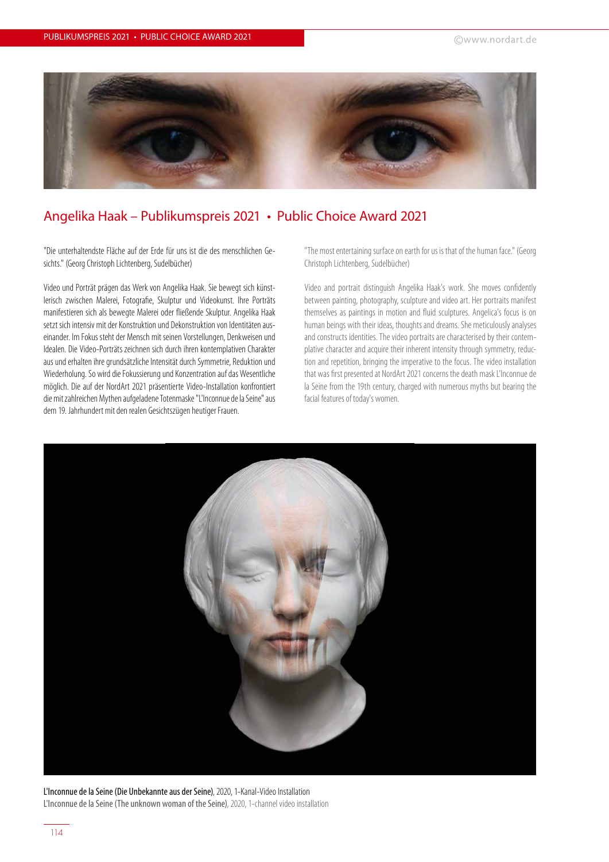

## Angelika Haak – Publikumspreis 2021 • Public Choice Award 2021

"Die unterhaltendste Fläche auf der Erde für uns ist die des menschlichen Gesichts." (Georg Christoph Lichtenberg, Sudelbücher)

Video und Porträt prägen das Werk von Angelika Haak. Sie bewegt sich künstlerisch zwischen Malerei, Fotografie, Skulptur und Videokunst. Ihre Porträts manifestieren sich als bewegte Malerei oder fließende Skulptur. Angelika Haak setzt sich intensiv mit der Konstruktion und Dekonstruktion von Identitäten auseinander. Im Fokus steht der Mensch mit seinen Vorstellungen, Denkweisen und Idealen. Die Video-Porträts zeichnen sich durch ihren kontemplativen Charakter aus und erhalten ihre grundsätzliche Intensität durch Symmetrie, Reduktion und Wiederholung. So wird die Fokussierung und Konzentration auf das Wesentliche möglich. Die auf der NordArt 2021 präsentierte Video-Installation konfrontiert die mit zahlreichen Mythen aufgeladene Totenmaske "L'Inconnue de la Seine" aus dem 19. Jahrhundert mit den realen Gesichtszügen heutiger Frauen.

"The most entertaining surface on earth for us is that of the human face." (Georg Christoph Lichtenberg, Sudelbücher)

Video and portrait distinguish Angelika Haak's work. She moves confidently between painting, photography, sculpture and video art. Her portraits manifest themselves as paintings in motion and fluid sculptures. Angelica's focus is on human beings with their ideas, thoughts and dreams. She meticulously analyses and constructs identities. The video portraits are characterised by their contemplative character and acquire their inherent intensity through symmetry, reduction and repetition, bringing the imperative to the focus. The video installation that was first presented at NordArt 2021 concerns the death mask L'Inconnue de la Seine from the 19th century, charged with numerous myths but bearing the facial features of today's women.



L'Inconnue de la Seine (Die Unbekannte aus der Seine), 2020, 1-Kanal-Video Installation L'Inconnue de la Seine (The unknown woman of the Seine), 2020, 1-channel video installation